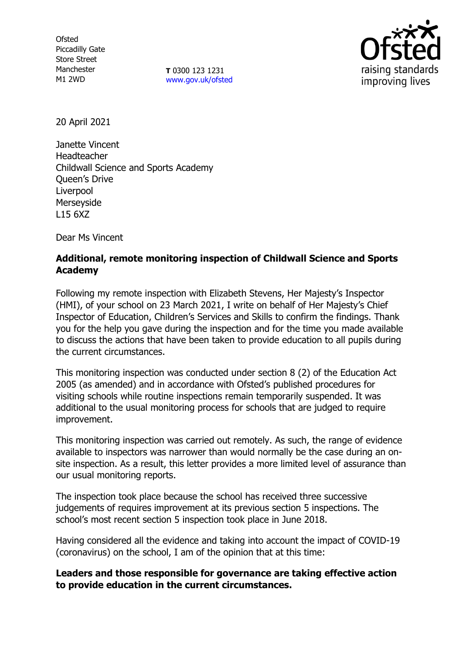**Ofsted** Piccadilly Gate Store Street Manchester M1 2WD

**T** 0300 123 1231 [www.gov.uk/ofsted](http://www.gov.uk/ofsted)



20 April 2021

Janette Vincent Headteacher Childwall Science and Sports Academy Queen's Drive Liverpool Merseyside L15 6XZ

Dear Ms Vincent

## **Additional, remote monitoring inspection of Childwall Science and Sports Academy**

Following my remote inspection with Elizabeth Stevens, Her Majesty's Inspector (HMI), of your school on 23 March 2021, I write on behalf of Her Majesty's Chief Inspector of Education, Children's Services and Skills to confirm the findings. Thank you for the help you gave during the inspection and for the time you made available to discuss the actions that have been taken to provide education to all pupils during the current circumstances.

This monitoring inspection was conducted under section 8 (2) of the Education Act 2005 (as amended) and in accordance with Ofsted's published procedures for visiting schools while routine inspections remain temporarily suspended. It was additional to the usual monitoring process for schools that are judged to require improvement.

This monitoring inspection was carried out remotely. As such, the range of evidence available to inspectors was narrower than would normally be the case during an onsite inspection. As a result, this letter provides a more limited level of assurance than our usual monitoring reports.

The inspection took place because the school has received three successive judgements of requires improvement at its previous section 5 inspections. The school's most recent section 5 inspection took place in June 2018.

Having considered all the evidence and taking into account the impact of COVID-19 (coronavirus) on the school, I am of the opinion that at this time:

**Leaders and those responsible for governance are taking effective action to provide education in the current circumstances.**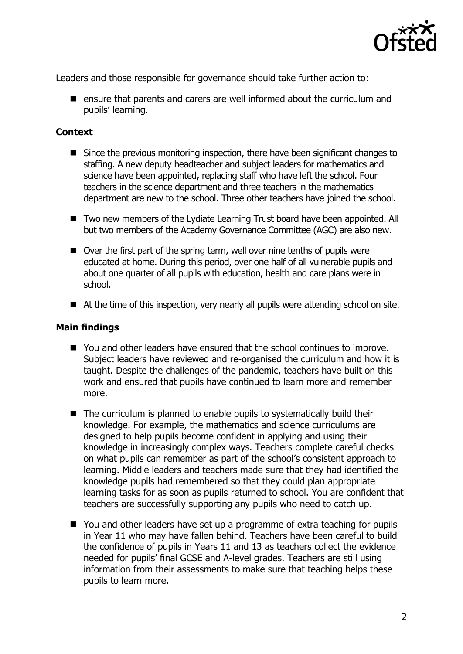

Leaders and those responsible for governance should take further action to:

 $\blacksquare$  ensure that parents and carers are well informed about the curriculum and pupils' learning.

## **Context**

- Since the previous monitoring inspection, there have been significant changes to staffing. A new deputy headteacher and subject leaders for mathematics and science have been appointed, replacing staff who have left the school. Four teachers in the science department and three teachers in the mathematics department are new to the school. Three other teachers have joined the school.
- Two new members of the Lydiate Learning Trust board have been appointed. All but two members of the Academy Governance Committee (AGC) are also new.
- Over the first part of the spring term, well over nine tenths of pupils were educated at home. During this period, over one half of all vulnerable pupils and about one quarter of all pupils with education, health and care plans were in school.
- At the time of this inspection, very nearly all pupils were attending school on site.

## **Main findings**

- You and other leaders have ensured that the school continues to improve. Subject leaders have reviewed and re-organised the curriculum and how it is taught. Despite the challenges of the pandemic, teachers have built on this work and ensured that pupils have continued to learn more and remember more.
- $\blacksquare$  The curriculum is planned to enable pupils to systematically build their knowledge. For example, the mathematics and science curriculums are designed to help pupils become confident in applying and using their knowledge in increasingly complex ways. Teachers complete careful checks on what pupils can remember as part of the school's consistent approach to learning. Middle leaders and teachers made sure that they had identified the knowledge pupils had remembered so that they could plan appropriate learning tasks for as soon as pupils returned to school. You are confident that teachers are successfully supporting any pupils who need to catch up.
- You and other leaders have set up a programme of extra teaching for pupils in Year 11 who may have fallen behind. Teachers have been careful to build the confidence of pupils in Years 11 and 13 as teachers collect the evidence needed for pupils' final GCSE and A-level grades. Teachers are still using information from their assessments to make sure that teaching helps these pupils to learn more.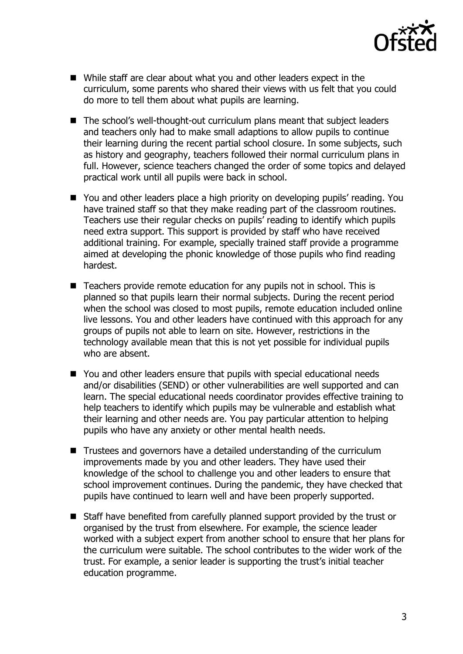

- While staff are clear about what you and other leaders expect in the curriculum, some parents who shared their views with us felt that you could do more to tell them about what pupils are learning.
- The school's well-thought-out curriculum plans meant that subject leaders and teachers only had to make small adaptions to allow pupils to continue their learning during the recent partial school closure. In some subjects, such as history and geography, teachers followed their normal curriculum plans in full. However, science teachers changed the order of some topics and delayed practical work until all pupils were back in school.
- You and other leaders place a high priority on developing pupils' reading. You have trained staff so that they make reading part of the classroom routines. Teachers use their regular checks on pupils' reading to identify which pupils need extra support. This support is provided by staff who have received additional training. For example, specially trained staff provide a programme aimed at developing the phonic knowledge of those pupils who find reading hardest.
- Teachers provide remote education for any pupils not in school. This is planned so that pupils learn their normal subjects. During the recent period when the school was closed to most pupils, remote education included online live lessons. You and other leaders have continued with this approach for any groups of pupils not able to learn on site. However, restrictions in the technology available mean that this is not yet possible for individual pupils who are absent.
- You and other leaders ensure that pupils with special educational needs and/or disabilities (SEND) or other vulnerabilities are well supported and can learn. The special educational needs coordinator provides effective training to help teachers to identify which pupils may be vulnerable and establish what their learning and other needs are. You pay particular attention to helping pupils who have any anxiety or other mental health needs.
- Trustees and governors have a detailed understanding of the curriculum improvements made by you and other leaders. They have used their knowledge of the school to challenge you and other leaders to ensure that school improvement continues. During the pandemic, they have checked that pupils have continued to learn well and have been properly supported.
- Staff have benefited from carefully planned support provided by the trust or organised by the trust from elsewhere. For example, the science leader worked with a subject expert from another school to ensure that her plans for the curriculum were suitable. The school contributes to the wider work of the trust. For example, a senior leader is supporting the trust's initial teacher education programme.